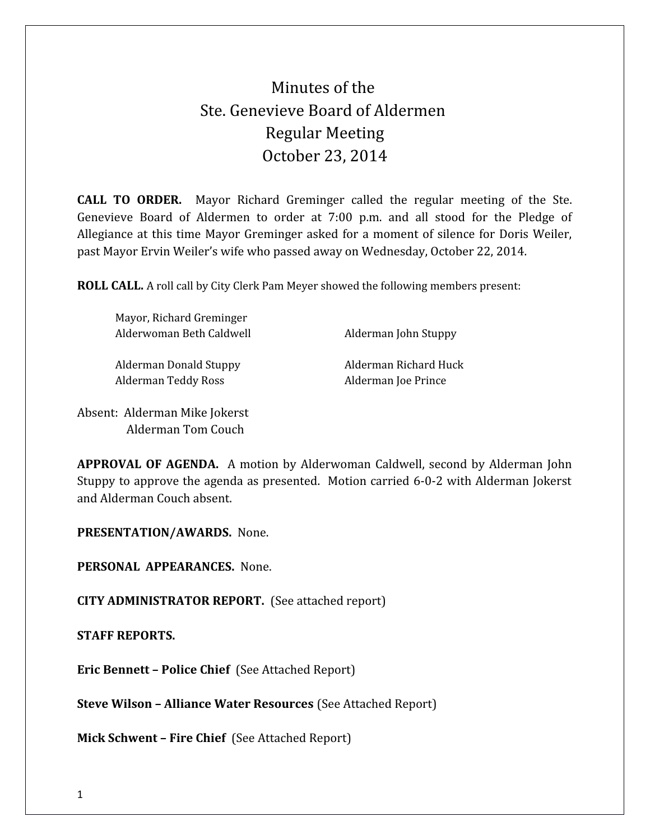## Minutes of the Ste. Genevieve Board of Aldermen Regular Meeting October 23, 2014

**CALL TO ORDER.** Mayor Richard Greminger called the regular meeting of the Ste. Genevieve Board of Aldermen to order at 7:00 p.m. and all stood for the Pledge of Allegiance at this time Mayor Greminger asked for a moment of silence for Doris Weiler, past Mayor Ervin Weiler's wife who passed away on Wednesday, October 22, 2014.

**ROLL CALL.** A roll call by City Clerk Pam Meyer showed the following members present:

| Mayor, Richard Greminger |                       |
|--------------------------|-----------------------|
| Alderwoman Beth Caldwell | Alderman John Stuppy  |
|                          |                       |
| Alderman Donald Stuppy   | Alderman Richard Huck |
| Alderman Teddy Ross      | Alderman Joe Prince   |
|                          |                       |
|                          |                       |

Absent: Alderman Mike Jokerst Alderman Tom Couch

**APPROVAL OF AGENDA.** A motion by Alderwoman Caldwell, second by Alderman John Stuppy to approve the agenda as presented. Motion carried 6-0-2 with Alderman Jokerst and Alderman Couch absent.

**PRESENTATION/AWARDS.** None.

**PERSONAL APPEARANCES.** None.

**CITY ADMINISTRATOR REPORT.** (See attached report)

**STAFF REPORTS.** 

**Eric Bennett – Police Chief** (See Attached Report)

**Steve Wilson – Alliance Water Resources** (See Attached Report)

**Mick Schwent – Fire Chief** (See Attached Report)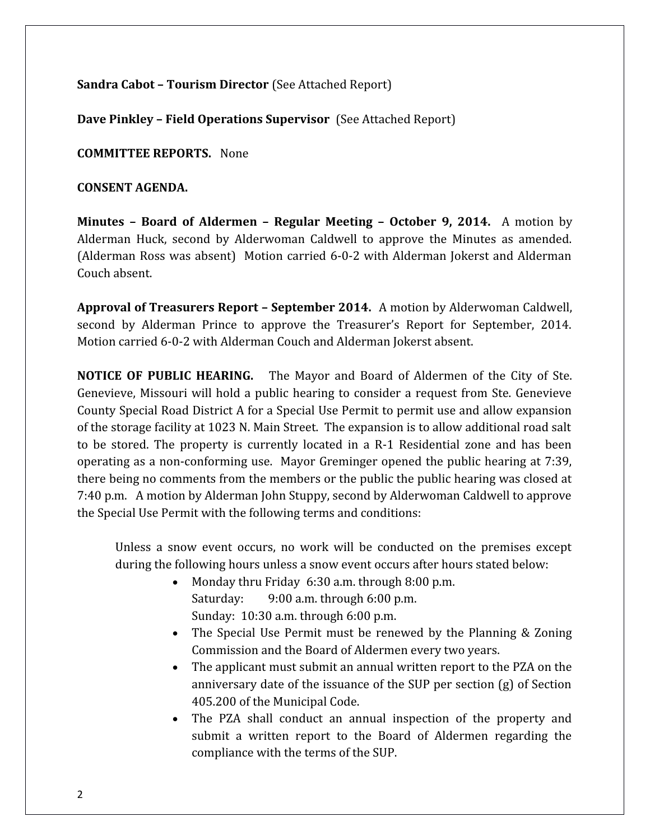**Sandra Cabot – Tourism Director** (See Attached Report)

**Dave Pinkley – Field Operations Supervisor** (See Attached Report)

**COMMITTEE REPORTS.** None

**CONSENT AGENDA.** 

**Minutes – Board of Aldermen – Regular Meeting – October 9, 2014.** A motion by Alderman Huck, second by Alderwoman Caldwell to approve the Minutes as amended. (Alderman Ross was absent) Motion carried 6-0-2 with Alderman Jokerst and Alderman Couch absent.

**Approval of Treasurers Report – September 2014.** A motion by Alderwoman Caldwell, second by Alderman Prince to approve the Treasurer's Report for September, 2014. Motion carried 6-0-2 with Alderman Couch and Alderman Jokerst absent.

**NOTICE OF PUBLIC HEARING.** The Mayor and Board of Aldermen of the City of Ste. Genevieve, Missouri will hold a public hearing to consider a request from Ste. Genevieve County Special Road District A for a Special Use Permit to permit use and allow expansion of the storage facility at 1023 N. Main Street. The expansion is to allow additional road salt to be stored. The property is currently located in a R-1 Residential zone and has been operating as a non-conforming use. Mayor Greminger opened the public hearing at 7:39, there being no comments from the members or the public the public hearing was closed at 7:40 p.m. A motion by Alderman John Stuppy, second by Alderwoman Caldwell to approve the Special Use Permit with the following terms and conditions:

Unless a snow event occurs, no work will be conducted on the premises except during the following hours unless a snow event occurs after hours stated below:

- Monday thru Friday 6:30 a.m. through 8:00 p.m. Saturday: 9:00 a.m. through 6:00 p.m. Sunday: 10:30 a.m. through 6:00 p.m.
- The Special Use Permit must be renewed by the Planning & Zoning Commission and the Board of Aldermen every two years.
- The applicant must submit an annual written report to the PZA on the anniversary date of the issuance of the SUP per section (g) of Section 405.200 of the Municipal Code.
- The PZA shall conduct an annual inspection of the property and submit a written report to the Board of Aldermen regarding the compliance with the terms of the SUP.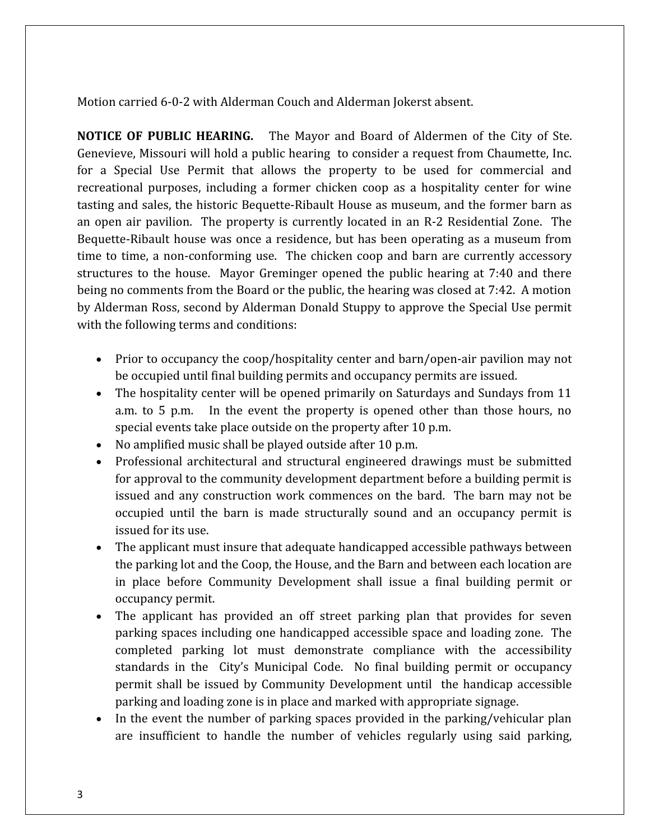Motion carried 6-0-2 with Alderman Couch and Alderman Jokerst absent.

**NOTICE OF PUBLIC HEARING.** The Mayor and Board of Aldermen of the City of Ste. Genevieve, Missouri will hold a public hearing to consider a request from Chaumette, Inc. for a Special Use Permit that allows the property to be used for commercial and recreational purposes, including a former chicken coop as a hospitality center for wine tasting and sales, the historic Bequette-Ribault House as museum, and the former barn as an open air pavilion. The property is currently located in an R-2 Residential Zone. The Bequette-Ribault house was once a residence, but has been operating as a museum from time to time, a non-conforming use. The chicken coop and barn are currently accessory structures to the house. Mayor Greminger opened the public hearing at 7:40 and there being no comments from the Board or the public, the hearing was closed at 7:42. A motion by Alderman Ross, second by Alderman Donald Stuppy to approve the Special Use permit with the following terms and conditions:

- Prior to occupancy the coop/hospitality center and barn/open-air pavilion may not be occupied until final building permits and occupancy permits are issued.
- The hospitality center will be opened primarily on Saturdays and Sundays from 11 a.m. to 5 p.m. In the event the property is opened other than those hours, no special events take place outside on the property after 10 p.m.
- No amplified music shall be played outside after 10 p.m.
- Professional architectural and structural engineered drawings must be submitted for approval to the community development department before a building permit is issued and any construction work commences on the bard. The barn may not be occupied until the barn is made structurally sound and an occupancy permit is issued for its use.
- The applicant must insure that adequate handicapped accessible pathways between the parking lot and the Coop, the House, and the Barn and between each location are in place before Community Development shall issue a final building permit or occupancy permit.
- The applicant has provided an off street parking plan that provides for seven parking spaces including one handicapped accessible space and loading zone. The completed parking lot must demonstrate compliance with the accessibility standards in the City's Municipal Code. No final building permit or occupancy permit shall be issued by Community Development until the handicap accessible parking and loading zone is in place and marked with appropriate signage.
- In the event the number of parking spaces provided in the parking/vehicular plan are insufficient to handle the number of vehicles regularly using said parking,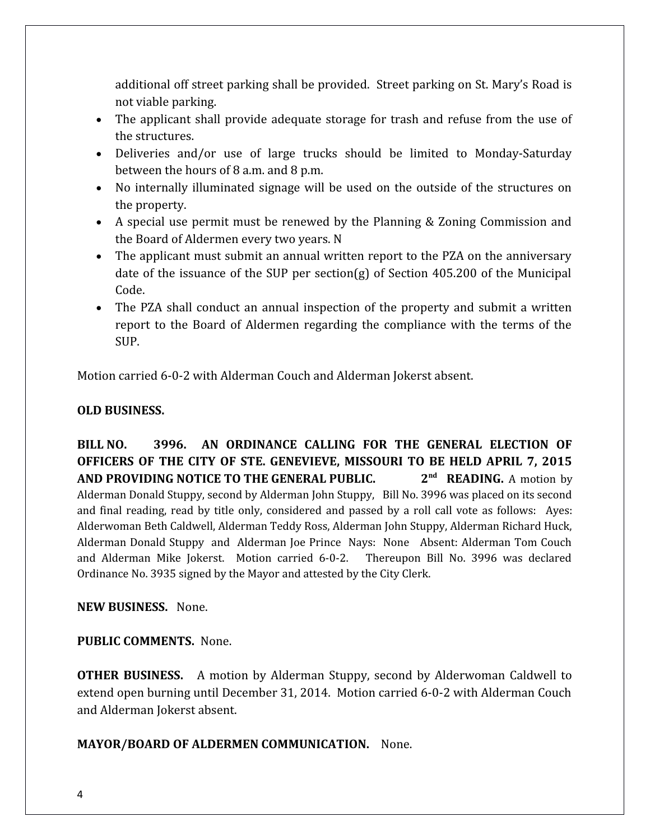additional off street parking shall be provided. Street parking on St. Mary's Road is not viable parking.

- The applicant shall provide adequate storage for trash and refuse from the use of the structures.
- Deliveries and/or use of large trucks should be limited to Monday-Saturday between the hours of 8 a.m. and 8 p.m.
- No internally illuminated signage will be used on the outside of the structures on the property.
- A special use permit must be renewed by the Planning & Zoning Commission and the Board of Aldermen every two years. N
- The applicant must submit an annual written report to the PZA on the anniversary date of the issuance of the SUP per section(g) of Section 405.200 of the Municipal Code.
- The PZA shall conduct an annual inspection of the property and submit a written report to the Board of Aldermen regarding the compliance with the terms of the SUP.

Motion carried 6-0-2 with Alderman Couch and Alderman Jokerst absent.

## **OLD BUSINESS.**

**BILL NO. 3996. AN ORDINANCE CALLING FOR THE GENERAL ELECTION OF OFFICERS OF THE CITY OF STE. GENEVIEVE, MISSOURI TO BE HELD APRIL 7, 2015 AND PROVIDING NOTICE TO THE GENERAL PUBLIC. 2** 2<sup>nd</sup> READING. A motion by Alderman Donald Stuppy, second by Alderman John Stuppy, Bill No. 3996 was placed on its second and final reading, read by title only, considered and passed by a roll call vote as follows: Ayes: Alderwoman Beth Caldwell, Alderman Teddy Ross, Alderman John Stuppy, Alderman Richard Huck, Alderman Donald Stuppy and Alderman Joe Prince Nays: None Absent: Alderman Tom Couch and Alderman Mike Jokerst. Motion carried 6-0-2. Thereupon Bill No. 3996 was declared Ordinance No. 3935 signed by the Mayor and attested by the City Clerk.

**NEW BUSINESS.** None.

## **PUBLIC COMMENTS.** None.

**OTHER BUSINESS.** A motion by Alderman Stuppy, second by Alderwoman Caldwell to extend open burning until December 31, 2014. Motion carried 6-0-2 with Alderman Couch and Alderman Jokerst absent.

## **MAYOR/BOARD OF ALDERMEN COMMUNICATION.** None.